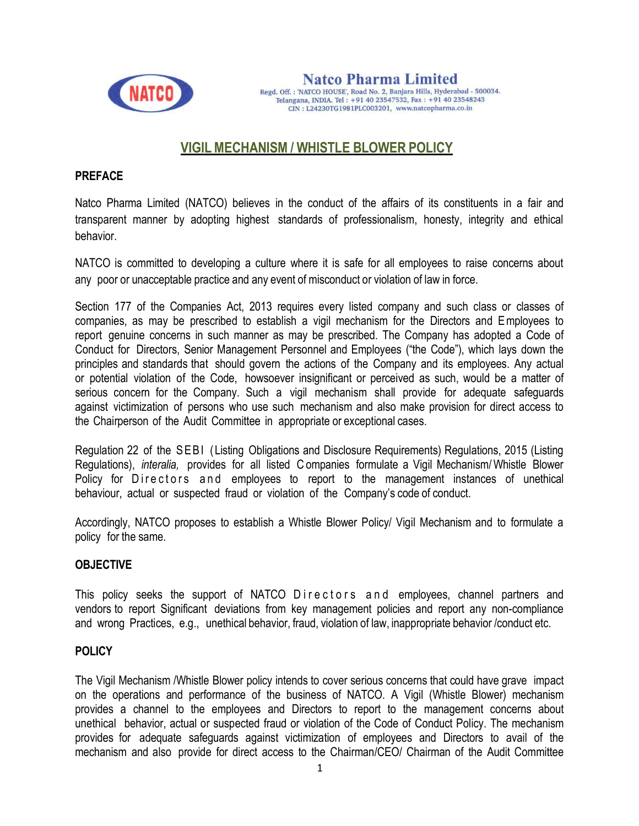

**Natco Pharma Limited** Regd. Off.: 'NATCO HOUSE', Road No. 2, Banjara Hills, Hyderabad - 500034. Telangana, INDIA. Tel: +91 40 23547532, Fax: +91 40 23548243 CIN: L24230TG1981PLC003201, www.natcopharma.co.in

# VIGIL MECHANISM / WHISTLE BLOWER POLICY

#### **PREFACE**

Natco Pharma Limited (NATCO) believes in the conduct of the affairs of its constituents in a fair and transparent manner by adopting highest standards of professionalism, honesty, integrity and ethical behavior.

NATCO is committed to developing a culture where it is safe for all employees to raise concerns about any poor or unacceptable practice and any event of misconduct or violation of law in force.

Section 177 of the Companies Act, 2013 requires every listed company and such class or classes of companies, as may be prescribed to establish a vigil mechanism for the Directors and E mployees to report genuine concerns in such manner as may be prescribed. The Company has adopted a Code of Conduct for Directors, Senior Management Personnel and Employees ("the Code"), which lays down the principles and standards that should govern the actions of the Company and its employees. Any actual or potential violation of the Code, howsoever insignificant or perceived as such, would be a matter of serious concern for the Company. Such a vigil mechanism shall provide for adequate safequards against victimization of persons who use such mechanism and also make provision for direct access to the Chairperson of the Audit Committee in appropriate or exceptional cases.

Regulation 22 of the SEBI (Listing Obligations and Disclosure Reguirements) Regulations, 2015 (Listing Regulations), interalia, provides for all listed C ompanies formulate a Vigil Mechanism/ Whistle Blower Policy for Directors and employees to report to the management instances of unethical behaviour, actual or suspected fraud or violation of the Company's code of conduct.

Accordingly, NATCO proposes to establish a Whistle Blower Policy/ Vigil Mechanism and to formulate a policy for the same.

### **OBJECTIVE**

This policy seeks the support of NATCO Directors and employees, channel partners and vendors to report Significant deviations from key management policies and report any non-compliance and wrong Practices, e.g., unethical behavior, fraud, violation of law, inappropriate behavior /conduct etc.

### **POLICY**

The Vigil Mechanism /Whistle Blower policy intends to cover serious concerns that could have grave impact on the operations and performance of the business of NATCO. A Vigil (Whistle Blower) mechanism provides a channel to the employees and Directors to report to the management concerns about unethical behavior, actual or suspected fraud or violation of the Code of Conduct Policy. The mechanism provides for adequate safeguards against victimization of employees and Directors to avail of the mechanism and also provide for direct access to the Chairman/CEO/ Chairman of the Audit Committee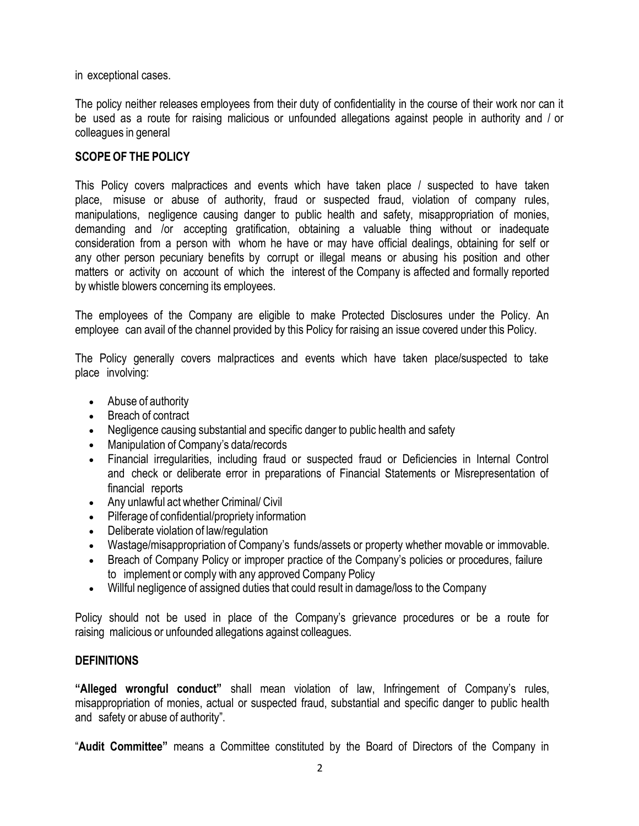in exceptional cases.

The policy neither releases employees from their duty of confidentiality in the course of their work nor can it be used as a route for raising malicious or unfounded allegations against people in authority and / or colleagues in general

## SCOPE OF THE POLICY

This Policy covers malpractices and events which have taken place / suspected to have taken place, misuse or abuse of authority, fraud or suspected fraud, violation of company rules, manipulations, negligence causing danger to public health and safety, misappropriation of monies, demanding and /or accepting gratification, obtaining a valuable thing without or inadequate consideration from a person with whom he have or may have official dealings, obtaining for self or any other person pecuniary benefits by corrupt or illegal means or abusing his position and other matters or activity on account of which the interest of the Company is affected and formally reported by whistle blowers concerning its employees.

The employees of the Company are eligible to make Protected Disclosures under the Policy. An employee can avail of the channel provided by this Policy for raising an issue covered under this Policy.

The Policy generally covers malpractices and events which have taken place/suspected to take place involving:

- Abuse of authority
- Breach of contract
- Negligence causing substantial and specific danger to public health and safety
- Manipulation of Company's data/records
- Financial irregularities, including fraud or suspected fraud or Deficiencies in Internal Control and check or deliberate error in preparations of Financial Statements or Misrepresentation of financial reports
- Any unlawful act whether Criminal/ Civil
- Pilferage of confidential/propriety information
- Deliberate violation of law/regulation
- Wastage/misappropriation of Company's funds/assets or property whether movable or immovable.
- Breach of Company Policy or improper practice of the Company's policies or procedures, failure to implement or comply with any approved Company Policy
- Willful negligence of assigned duties that could result in damage/loss to the Company

Policy should not be used in place of the Company's grievance procedures or be a route for raising malicious or unfounded allegations against colleagues.

### **DEFINITIONS**

"Alleged wrongful conduct" shall mean violation of law, Infringement of Company's rules, misappropriation of monies, actual or suspected fraud, substantial and specific danger to public health and safety or abuse of authority".

"Audit Committee" means a Committee constituted by the Board of Directors of the Company in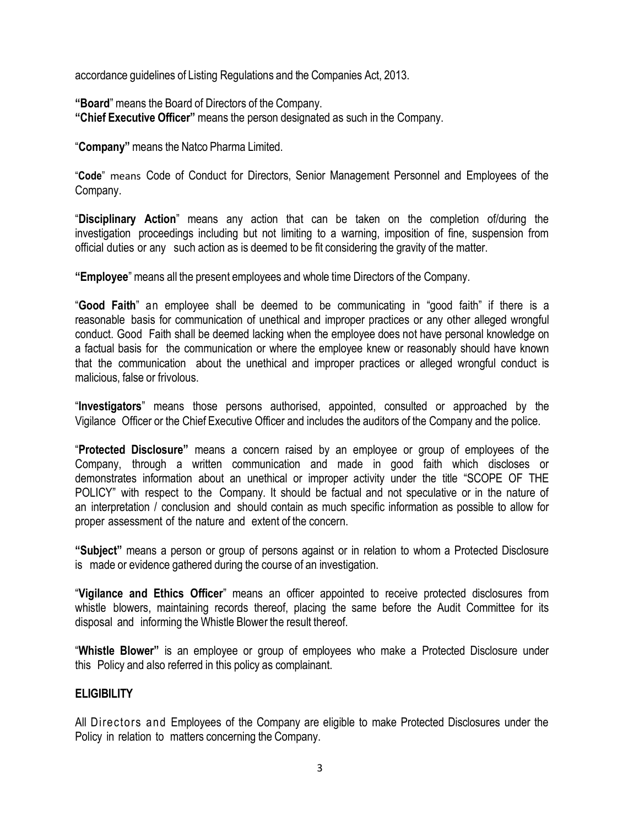accordance guidelines of Listing Regulations and the Companies Act, 2013.

"Board" means the Board of Directors of the Company.

"Chief Executive Officer" means the person designated as such in the Company.

"Company" means the Natco Pharma Limited.

"Code" means Code of Conduct for Directors, Senior Management Personnel and Employees of the Company.

"Disciplinary Action" means any action that can be taken on the completion of/during the investigation proceedings including but not limiting to a warning, imposition of fine, suspension from official duties or any such action as is deemed to be fit considering the gravity of the matter.

"Employee" means all the present employees and whole time Directors of the Company.

"Good Faith" an employee shall be deemed to be communicating in "good faith" if there is a reasonable basis for communication of unethical and improper practices or any other alleged wrongful conduct. Good Faith shall be deemed lacking when the employee does not have personal knowledge on a factual basis for the communication or where the employee knew or reasonably should have known that the communication about the unethical and improper practices or alleged wrongful conduct is malicious, false or frivolous.

"Investigators" means those persons authorised, appointed, consulted or approached by the Vigilance Officer or the Chief Executive Officer and includes the auditors of the Company and the police.

"Protected Disclosure" means a concern raised by an employee or group of employees of the Company, through a written communication and made in good faith which discloses or demonstrates information about an unethical or improper activity under the title "SCOPE OF THE POLICY" with respect to the Company. It should be factual and not speculative or in the nature of an interpretation / conclusion and should contain as much specific information as possible to allow for proper assessment of the nature and extent of the concern.

"Subject" means a person or group of persons against or in relation to whom a Protected Disclosure is made or evidence gathered during the course of an investigation.

"Vigilance and Ethics Officer" means an officer appointed to receive protected disclosures from whistle blowers, maintaining records thereof, placing the same before the Audit Committee for its disposal and informing the Whistle Blower the result thereof.

"Whistle Blower" is an employee or group of employees who make a Protected Disclosure under this Policy and also referred in this policy as complainant.

### **ELIGIBILITY**

All Directors and Employees of the Company are eligible to make Protected Disclosures under the Policy in relation to matters concerning the Company.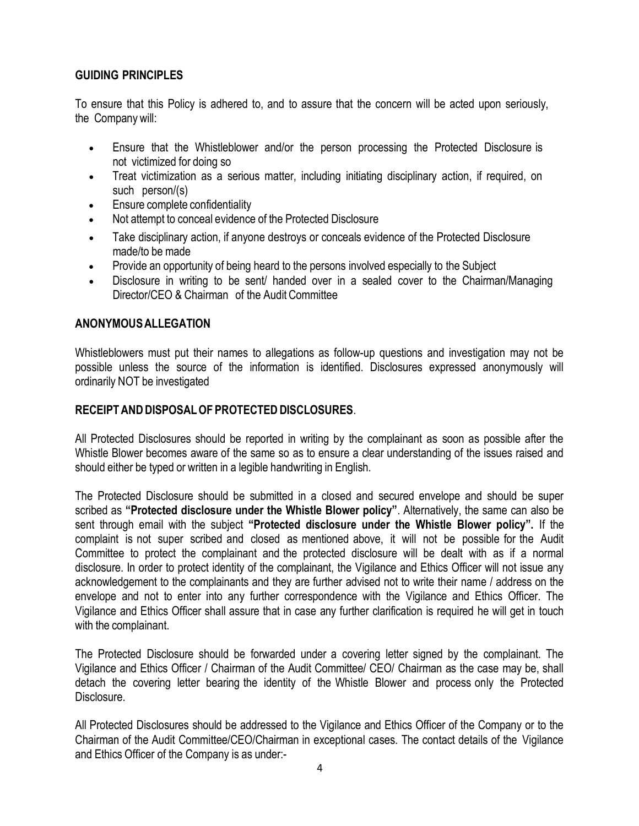## GUIDING PRINCIPLES

To ensure that this Policy is adhered to, and to assure that the concern will be acted upon seriously, the Company will:

- Ensure that the Whistleblower and/or the person processing the Protected Disclosure is not victimized for doing so
- Treat victimization as a serious matter, including initiating disciplinary action, if required, on such person/(s)
- Ensure complete confidentiality
- Not attempt to conceal evidence of the Protected Disclosure
- Take disciplinary action, if anyone destroys or conceals evidence of the Protected Disclosure made/to be made
- Provide an opportunity of being heard to the persons involved especially to the Subject
- Disclosure in writing to be sent/ handed over in a sealed cover to the Chairman/Managing Director/CEO & Chairman of the Audit Committee

## ANONYMOUS ALLEGATION

Whistleblowers must put their names to allegations as follow-up questions and investigation may not be possible unless the source of the information is identified. Disclosures expressed anonymously will ordinarily NOT be investigated

### RECEIPT AND DISPOSAL OF PROTECTED DISCLOSURES.

All Protected Disclosures should be reported in writing by the complainant as soon as possible after the Whistle Blower becomes aware of the same so as to ensure a clear understanding of the issues raised and should either be typed or written in a legible handwriting in English.

The Protected Disclosure should be submitted in a closed and secured envelope and should be super scribed as "Protected disclosure under the Whistle Blower policy". Alternatively, the same can also be sent through email with the subject "Protected disclosure under the Whistle Blower policy". If the complaint is not super scribed and closed as mentioned above, it will not be possible for the Audit Committee to protect the complainant and the protected disclosure will be dealt with as if a normal disclosure. In order to protect identity of the complainant, the Vigilance and Ethics Officer will not issue any acknowledgement to the complainants and they are further advised not to write their name / address on the envelope and not to enter into any further correspondence with the Vigilance and Ethics Officer. The Vigilance and Ethics Officer shall assure that in case any further clarification is required he will get in touch with the complainant.

The Protected Disclosure should be forwarded under a covering letter signed by the complainant. The Vigilance and Ethics Officer / Chairman of the Audit Committee/ CEO/ Chairman as the case may be, shall detach the covering letter bearing the identity of the Whistle Blower and process only the Protected Disclosure.

All Protected Disclosures should be addressed to the Vigilance and Ethics Officer of the Company or to the Chairman of the Audit Committee/CEO/Chairman in exceptional cases. The contact details of the Vigilance and Ethics Officer of the Company is as under:-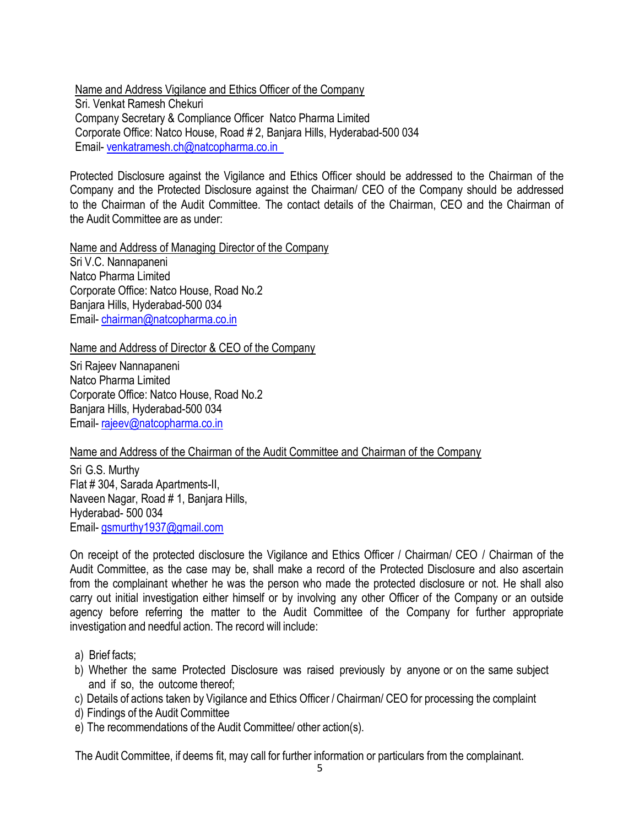Name and Address Vigilance and Ethics Officer of the Company Sri. Venkat Ramesh Chekuri Company Secretary & Compliance Officer Natco Pharma Limited Corporate Office: Natco House, Road # 2, Banjara Hills, Hyderabad-500 034 Email- venkatramesh.ch@natcopharma.co.in

Protected Disclosure against the Vigilance and Ethics Officer should be addressed to the Chairman of the Company and the Protected Disclosure against the Chairman/ CEO of the Company should be addressed to the Chairman of the Audit Committee. The contact details of the Chairman, CEO and the Chairman of the Audit Committee are as under:

Name and Address of Managing Director of the Company Sri V.C. Nannapaneni Natco Pharma Limited Corporate Office: Natco House, Road No.2 Banjara Hills, Hyderabad-500 034 Email- chairman@natcopharma.co.in

Name and Address of Director & CEO of the Company

Sri Rajeev Nannapaneni Natco Pharma Limited Corporate Office: Natco House, Road No.2 Banjara Hills, Hyderabad-500 034 Email- rajeev@natcopharma.co.in

Name and Address of the Chairman of the Audit Committee and Chairman of the Company

Sri G.S. Murthy Flat # 304, Sarada Apartments-II, Naveen Nagar, Road # 1, Banjara Hills, Hyderabad- 500 034 Email- gsmurthy1937@gmail.com

On receipt of the protected disclosure the Vigilance and Ethics Officer / Chairman/ CEO / Chairman of the Audit Committee, as the case may be, shall make a record of the Protected Disclosure and also ascertain from the complainant whether he was the person who made the protected disclosure or not. He shall also carry out initial investigation either himself or by involving any other Officer of the Company or an outside agency before referring the matter to the Audit Committee of the Company for further appropriate investigation and needful action. The record will include:

- a) Brief facts;
- b) Whether the same Protected Disclosure was raised previously by anyone or on the same subject and if so, the outcome thereof;
- c) Details of actions taken by Vigilance and Ethics Officer / Chairman/ CEO for processing the complaint
- d) Findings of the Audit Committee
- e) The recommendations of the Audit Committee/ other action(s).

The Audit Committee, if deems fit, may call for further information or particulars from the complainant.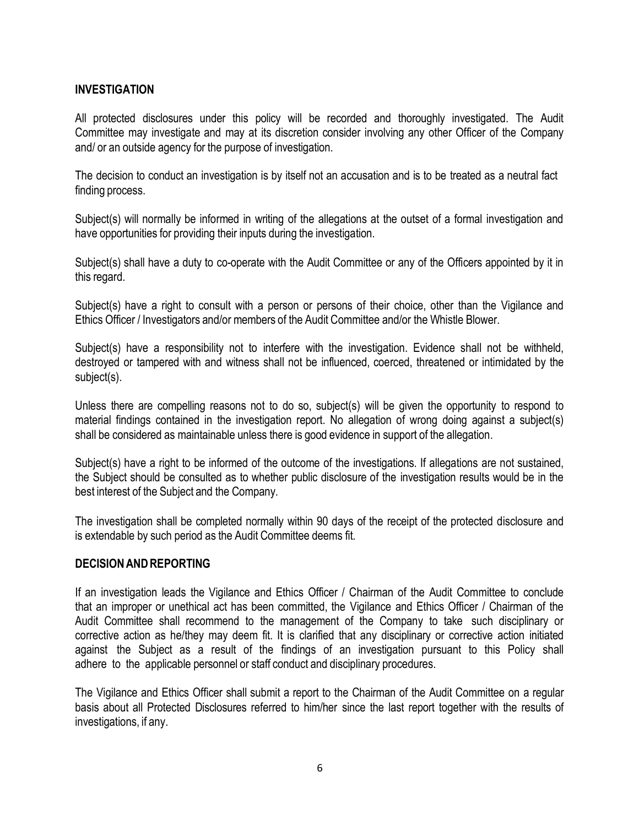### INVESTIGATION

All protected disclosures under this policy will be recorded and thoroughly investigated. The Audit Committee may investigate and may at its discretion consider involving any other Officer of the Company and/ or an outside agency for the purpose of investigation.

The decision to conduct an investigation is by itself not an accusation and is to be treated as a neutral fact finding process.

Subject(s) will normally be informed in writing of the allegations at the outset of a formal investigation and have opportunities for providing their inputs during the investigation.

Subject(s) shall have a duty to co-operate with the Audit Committee or any of the Officers appointed by it in this regard.

Subject(s) have a right to consult with a person or persons of their choice, other than the Vigilance and Ethics Officer / Investigators and/or members of the Audit Committee and/or the Whistle Blower.

Subject(s) have a responsibility not to interfere with the investigation. Evidence shall not be withheld, destroyed or tampered with and witness shall not be influenced, coerced, threatened or intimidated by the subject(s).

Unless there are compelling reasons not to do so, subject(s) will be given the opportunity to respond to material findings contained in the investigation report. No allegation of wrong doing against a subject(s) shall be considered as maintainable unless there is good evidence in support of the allegation.

Subject(s) have a right to be informed of the outcome of the investigations. If allegations are not sustained, the Subject should be consulted as to whether public disclosure of the investigation results would be in the best interest of the Subject and the Company.

The investigation shall be completed normally within 90 days of the receipt of the protected disclosure and is extendable by such period as the Audit Committee deems fit.

#### DECISION AND REPORTING

If an investigation leads the Vigilance and Ethics Officer / Chairman of the Audit Committee to conclude that an improper or unethical act has been committed, the Vigilance and Ethics Officer / Chairman of the Audit Committee shall recommend to the management of the Company to take such disciplinary or corrective action as he/they may deem fit. It is clarified that any disciplinary or corrective action initiated against the Subject as a result of the findings of an investigation pursuant to this Policy shall adhere to the applicable personnel or staff conduct and disciplinary procedures.

The Vigilance and Ethics Officer shall submit a report to the Chairman of the Audit Committee on a regular basis about all Protected Disclosures referred to him/her since the last report together with the results of investigations, if any.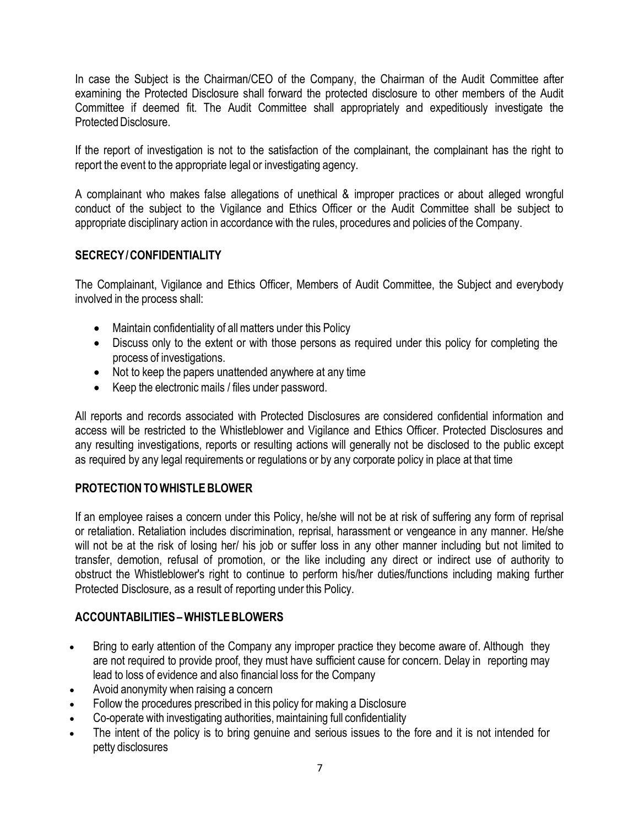In case the Subject is the Chairman/CEO of the Company, the Chairman of the Audit Committee after examining the Protected Disclosure shall forward the protected disclosure to other members of the Audit Committee if deemed fit. The Audit Committee shall appropriately and expeditiously investigate the Protected Disclosure.

If the report of investigation is not to the satisfaction of the complainant, the complainant has the right to report the event to the appropriate legal or investigating agency.

A complainant who makes false allegations of unethical & improper practices or about alleged wrongful conduct of the subject to the Vigilance and Ethics Officer or the Audit Committee shall be subject to appropriate disciplinary action in accordance with the rules, procedures and policies of the Company.

## SECRECY / CONFIDENTIALITY

The Complainant, Vigilance and Ethics Officer, Members of Audit Committee, the Subject and everybody involved in the process shall:

- Maintain confidentiality of all matters under this Policy
- Discuss only to the extent or with those persons as required under this policy for completing the process of investigations.
- Not to keep the papers unattended anywhere at any time
- Keep the electronic mails / files under password.

All reports and records associated with Protected Disclosures are considered confidential information and access will be restricted to the Whistleblower and Vigilance and Ethics Officer. Protected Disclosures and any resulting investigations, reports or resulting actions will generally not be disclosed to the public except as required by any legal requirements or regulations or by any corporate policy in place at that time

### PROTECTION TO WHISTLE BLOWER

If an employee raises a concern under this Policy, he/she will not be at risk of suffering any form of reprisal or retaliation. Retaliation includes discrimination, reprisal, harassment or vengeance in any manner. He/she will not be at the risk of losing her/ his job or suffer loss in any other manner including but not limited to transfer, demotion, refusal of promotion, or the like including any direct or indirect use of authority to obstruct the Whistleblower's right to continue to perform his/her duties/functions including making further Protected Disclosure, as a result of reporting under this Policy.

# ACCOUNTABILITIES – WHISTLE BLOWERS

- Bring to early attention of the Company any improper practice they become aware of. Although they are not required to provide proof, they must have sufficient cause for concern. Delay in reporting may lead to loss of evidence and also financial loss for the Company
- Avoid anonymity when raising a concern
- Follow the procedures prescribed in this policy for making a Disclosure
- Co-operate with investigating authorities, maintaining full confidentiality
- The intent of the policy is to bring genuine and serious issues to the fore and it is not intended for petty disclosures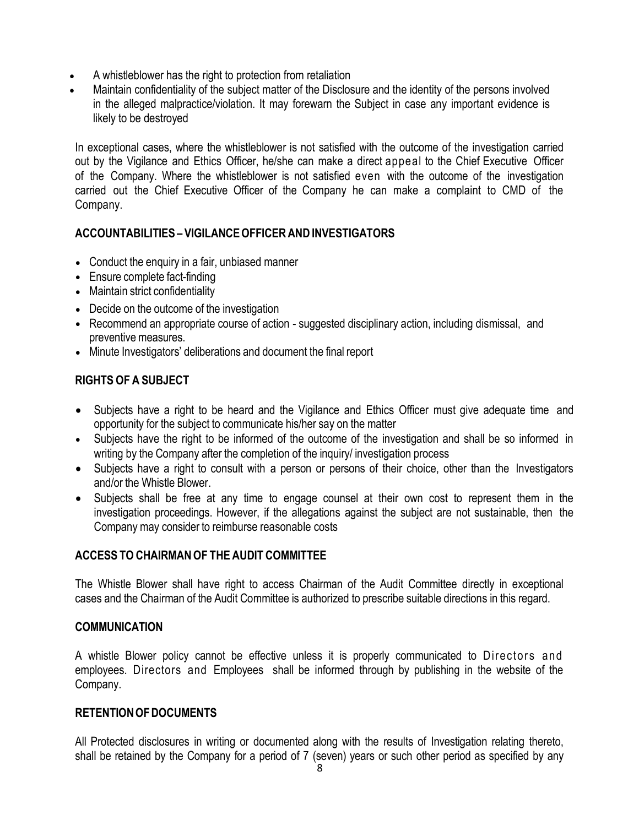- A whistleblower has the right to protection from retaliation
- Maintain confidentiality of the subject matter of the Disclosure and the identity of the persons involved in the alleged malpractice/violation. It may forewarn the Subject in case any important evidence is likely to be destroyed

In exceptional cases, where the whistleblower is not satisfied with the outcome of the investigation carried out by the Vigilance and Ethics Officer, he/she can make a direct appeal to the Chief Executive Officer of the Company. Where the whistleblower is not satisfied even with the outcome of the investigation carried out the Chief Executive Officer of the Company he can make a complaint to CMD of the Company.

## ACCOUNTABILITIES – VIGILANCE OFFICER AND INVESTIGATORS

- Conduct the enquiry in a fair, unbiased manner
- Ensure complete fact-finding
- Maintain strict confidentiality
- Decide on the outcome of the investigation
- Recommend an appropriate course of action suggested disciplinary action, including dismissal, and preventive measures.
- Minute Investigators' deliberations and document the final report

# RIGHTS OF A SUBJECT

- Subjects have a right to be heard and the Vigilance and Ethics Officer must give adequate time and opportunity for the subject to communicate his/her say on the matter
- Subjects have the right to be informed of the outcome of the investigation and shall be so informed in writing by the Company after the completion of the inquiry/ investigation process
- Subjects have a right to consult with a person or persons of their choice, other than the Investigators and/or the Whistle Blower.
- Subjects shall be free at any time to engage counsel at their own cost to represent them in the investigation proceedings. However, if the allegations against the subject are not sustainable, then the Company may consider to reimburse reasonable costs

# ACCESS TO CHAIRMAN OF THE AUDIT COMMITTEE

The Whistle Blower shall have right to access Chairman of the Audit Committee directly in exceptional cases and the Chairman of the Audit Committee is authorized to prescribe suitable directions in this regard.

# **COMMUNICATION**

A whistle Blower policy cannot be effective unless it is properly communicated to Directors and employees. Directors and Employees shall be informed through by publishing in the website of the Company.

# RETENTION OF DOCUMENTS

All Protected disclosures in writing or documented along with the results of Investigation relating thereto, shall be retained by the Company for a period of 7 (seven) years or such other period as specified by any